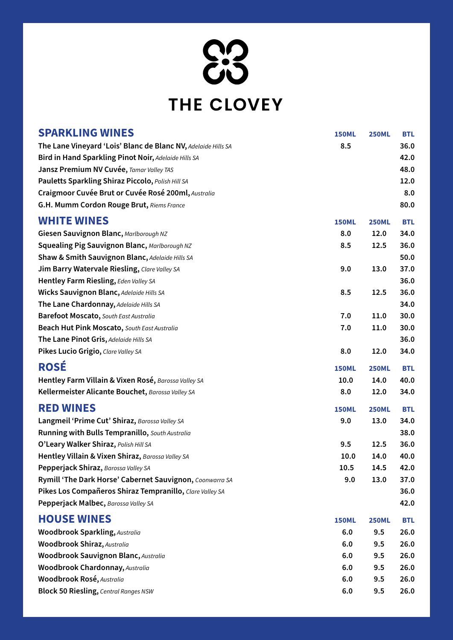83

# THE CLOVEY

| <b>SPARKLING WINES</b>                                        | <b>150ML</b> | <b>250ML</b> | <b>BTL</b> |
|---------------------------------------------------------------|--------------|--------------|------------|
| The Lane Vineyard 'Lois' Blanc de Blanc NV, Adelaide Hills SA | 8.5          |              | 36.0       |
| Bird in Hand Sparkling Pinot Noir, Adelaide Hills SA          |              |              | 42.0       |
| Jansz Premium NV Cuvée, Tamar Valley TAS                      |              |              | 48.0       |
| Pauletts Sparkling Shiraz Piccolo, Polish Hill SA             |              |              | 12.0       |
| Craigmoor Cuvée Brut or Cuvée Rosé 200ml, Australia           |              |              | 8.0        |
| G.H. Mumm Cordon Rouge Brut, Riems France                     |              |              | 80.0       |
| <b>WHITE WINES</b>                                            | <b>150ML</b> | <b>250ML</b> | <b>BTL</b> |
| Giesen Sauvignon Blanc, Marlborough NZ                        | 8.0          | 12.0         | 34.0       |
| <b>Squealing Pig Sauvignon Blanc, Marlborough NZ</b>          | 8.5          | 12.5         | 36.0       |
| <b>Shaw &amp; Smith Sauvignon Blanc, Adelaide Hills SA</b>    |              |              | 50.0       |
| <b>Jim Barry Watervale Riesling, Clare Valley SA</b>          | 9.0          | 13.0         | 37.0       |
| Hentley Farm Riesling, Eden Valley SA                         |              |              | 36.0       |
| <b>Wicks Sauvignon Blanc, Adelaide Hills SA</b>               | 8.5          | 12.5         | 36.0       |
| The Lane Chardonnay, Adelaide Hills SA                        |              |              | 34.0       |
| <b>Barefoot Moscato, South East Australia</b>                 | 7.0          | 11.0         | 30.0       |
| Beach Hut Pink Moscato, South East Australia                  | 7.0          | 11.0         | 30.0       |
| The Lane Pinot Gris, Adelaide Hills SA                        |              |              | 36.0       |
| Pikes Lucio Grigio, Clare Valley SA                           | 8.0          | 12.0         | 34.0       |
| <b>ROSÉ</b>                                                   | <b>150ML</b> | <b>250ML</b> | <b>BTL</b> |
| Hentley Farm Villain & Vixen Rosé, Barossa Valley SA          | 10.0         | 14.0         | 40.0       |
| Kellermeister Alicante Bouchet, Barossa Valley SA             | 8.0          | 12.0         | 34.0       |
| <b>RED WINES</b>                                              | <b>150ML</b> | <b>250ML</b> | <b>BTL</b> |
| Langmeil 'Prime Cut' Shiraz, Barossa Valley SA                | 9.0          | 13.0         | 34.0       |
| Running with Bulls Tempranillo, South Australia               |              |              | 38.0       |
| O'Leary Walker Shiraz, Polish Hill SA                         | 9.5          | 12.5         | 36.0       |
| Hentley Villain & Vixen Shiraz, Barossa Valley SA             | 10.0         | 14.0         | 40.0       |
| Pepperjack Shiraz, Barossa Valley SA                          | 10.5         | 14.5         | 42.0       |
| Rymill 'The Dark Horse' Cabernet Sauvignon, Coonwarra SA      | 9.0          | 13.0         | 37.0       |
| Pikes Los Compañeros Shiraz Tempranillo, Clare Valley SA      |              |              | 36.0       |
| Pepperjack Malbec, Barossa Valley SA                          |              |              | 42.0       |
| <b>HOUSE WINES</b>                                            | <b>150ML</b> | <b>250ML</b> | <b>BTL</b> |
| <b>Woodbrook Sparkling, Australia</b>                         | 6.0          | 9.5          | 26.0       |
| <b>Woodbrook Shiraz, Australia</b>                            |              |              | 26.0       |
|                                                               | 6.0          | 9.5          |            |
| <b>Woodbrook Sauvignon Blanc, Australia</b>                   | 6.0          | 9.5          | 26.0       |
| <b>Woodbrook Chardonnay, Australia</b>                        | 6.0          | 9.5          | 26.0       |
| Woodbrook Rosé, Australia                                     | 6.0          | 9.5          | 26.0       |
| <b>Block 50 Riesling, Central Ranges NSW</b>                  | 6.0          | 9.5          | 26.0       |